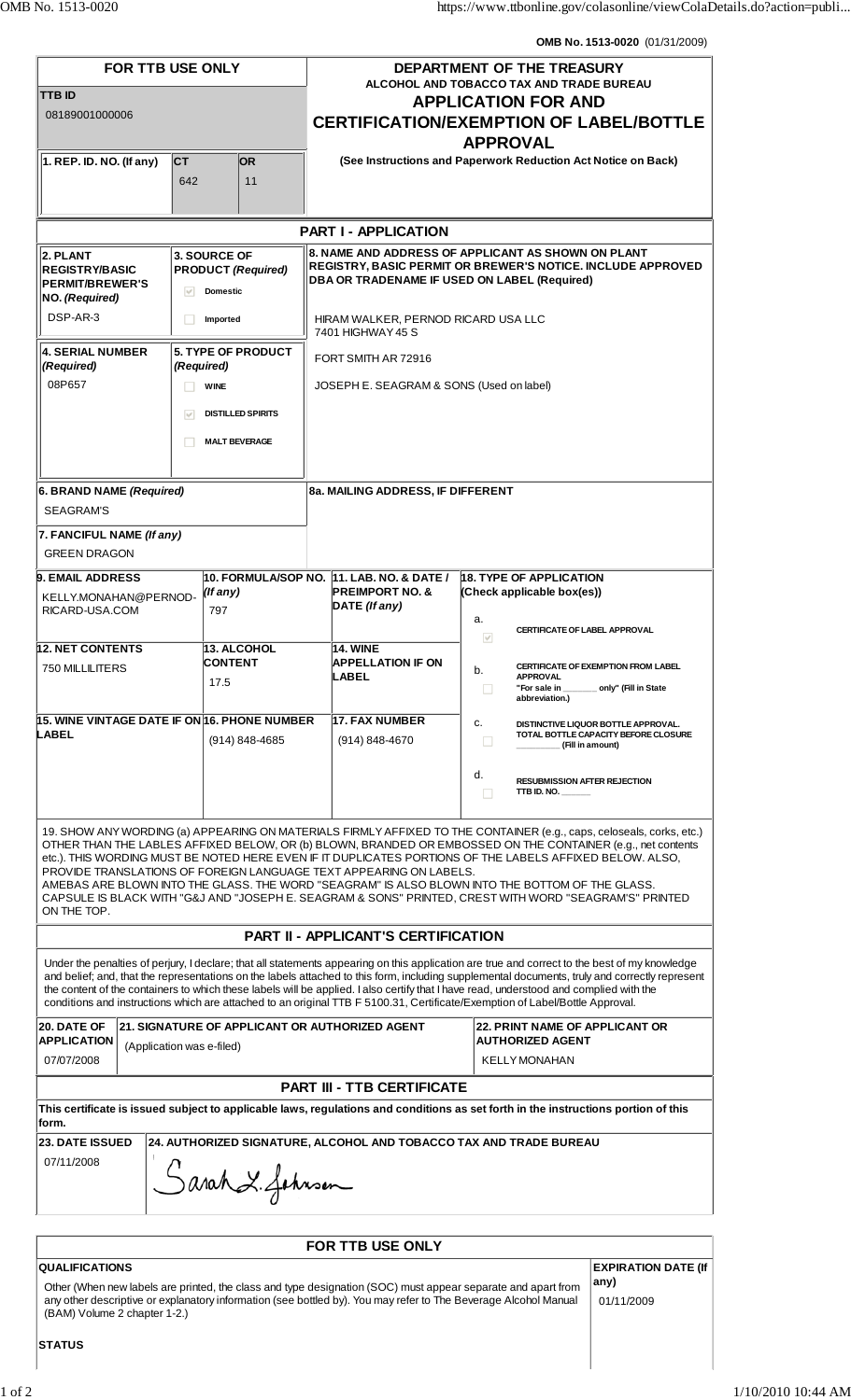**OMB No. 1513-0020** (01/31/2009)

| <b>FOR TTB USE ONLY</b>                                                                                                                                                                                                                                                                                                                                                                                                                                                                                                                                                                                                                           |                  |                 |                                                                                                                                                                                                          | DEPARTMENT OF THE TREASURY<br>ALCOHOL AND TOBACCO TAX AND TRADE BUREAU                          |                                                                                          |                                                             |
|---------------------------------------------------------------------------------------------------------------------------------------------------------------------------------------------------------------------------------------------------------------------------------------------------------------------------------------------------------------------------------------------------------------------------------------------------------------------------------------------------------------------------------------------------------------------------------------------------------------------------------------------------|------------------|-----------------|----------------------------------------------------------------------------------------------------------------------------------------------------------------------------------------------------------|-------------------------------------------------------------------------------------------------|------------------------------------------------------------------------------------------|-------------------------------------------------------------|
| <b>TTB ID</b><br>08189001000006                                                                                                                                                                                                                                                                                                                                                                                                                                                                                                                                                                                                                   |                  |                 |                                                                                                                                                                                                          | <b>APPLICATION FOR AND</b><br><b>CERTIFICATION/EXEMPTION OF LABEL/BOTTLE</b><br><b>APPROVAL</b> |                                                                                          |                                                             |
| $\vert$ 1. REP. ID. NO. (If any)                                                                                                                                                                                                                                                                                                                                                                                                                                                                                                                                                                                                                  | <b>CT</b><br>642 | <b>OR</b><br>11 |                                                                                                                                                                                                          | (See Instructions and Paperwork Reduction Act Notice on Back)                                   |                                                                                          |                                                             |
| <b>PART I - APPLICATION</b>                                                                                                                                                                                                                                                                                                                                                                                                                                                                                                                                                                                                                       |                  |                 |                                                                                                                                                                                                          |                                                                                                 |                                                                                          |                                                             |
| 3. SOURCE OF<br>2. PLANT<br><b>PRODUCT (Required)</b><br><b>REGISTRY/BASIC</b><br><b>PERMIT/BREWER'S</b><br><b>Domestic</b><br>V<br>NO. (Required)<br>DSP-AR-3                                                                                                                                                                                                                                                                                                                                                                                                                                                                                    |                  |                 | 8. NAME AND ADDRESS OF APPLICANT AS SHOWN ON PLANT<br>REGISTRY, BASIC PERMIT OR BREWER'S NOTICE. INCLUDE APPROVED<br>DBA OR TRADENAME IF USED ON LABEL (Required)<br>HIRAM WALKER, PERNOD RICARD USA LLC |                                                                                                 |                                                                                          |                                                             |
| п<br>Imported                                                                                                                                                                                                                                                                                                                                                                                                                                                                                                                                                                                                                                     |                  |                 |                                                                                                                                                                                                          | 7401 HIGHWAY 45 S                                                                               |                                                                                          |                                                             |
| <b>4. SERIAL NUMBER</b><br><b>5. TYPE OF PRODUCT</b><br>(Required)<br>(Required)<br>08P657<br><b>WINE</b><br><b>DISTILLED SPIRITS</b><br>$\vee$<br><b>MALT BEVERAGE</b><br>ш                                                                                                                                                                                                                                                                                                                                                                                                                                                                      |                  |                 | FORT SMITH AR 72916<br>JOSEPH E. SEAGRAM & SONS (Used on label)                                                                                                                                          |                                                                                                 |                                                                                          |                                                             |
| 6. BRAND NAME (Required)<br><b>SEAGRAM'S</b>                                                                                                                                                                                                                                                                                                                                                                                                                                                                                                                                                                                                      |                  |                 | 8a. MAILING ADDRESS, IF DIFFERENT                                                                                                                                                                        |                                                                                                 |                                                                                          |                                                             |
| 7. FANCIFUL NAME (If any)<br><b>GREEN DRAGON</b>                                                                                                                                                                                                                                                                                                                                                                                                                                                                                                                                                                                                  |                  |                 |                                                                                                                                                                                                          |                                                                                                 |                                                                                          |                                                             |
| <b>9. EMAIL ADDRESS</b><br>KELLY.MONAHAN@PERNOD-<br>RICARD-USA.COM                                                                                                                                                                                                                                                                                                                                                                                                                                                                                                                                                                                | (If any)<br>797  |                 | 10. FORMULA/SOP NO. 11. LAB. NO. & DATE /<br><b>PREIMPORT NO. &amp;</b><br>DATE (If any)                                                                                                                 | <b>18. TYPE OF APPLICATION</b><br>(Check applicable box(es))<br>a.                              |                                                                                          |                                                             |
| <b>12. NET CONTENTS</b><br>13. ALCOHOL                                                                                                                                                                                                                                                                                                                                                                                                                                                                                                                                                                                                            |                  |                 |                                                                                                                                                                                                          | <b>14. WINE</b>                                                                                 | <b>CERTIFICATE OF LABEL APPROVAL</b><br>$\checkmark$                                     |                                                             |
| <b>CONTENT</b><br>750 MILLILITERS<br>17.5                                                                                                                                                                                                                                                                                                                                                                                                                                                                                                                                                                                                         |                  |                 | <b>APPELLATION IF ON</b><br>b.<br>LABEL<br><b>APPROVAL</b><br>"For sale in<br>abbreviation.)                                                                                                             |                                                                                                 |                                                                                          | CERTIFICATE OF EXEMPTION FROM LABEL<br>only" (Fill in State |
| 15. WINE VINTAGE DATE IF ON 16. PHONE NUMBER<br>LABEL<br>(914) 848-4685                                                                                                                                                                                                                                                                                                                                                                                                                                                                                                                                                                           |                  |                 | 17. FAX NUMBER<br>$(914) 848 - 4670$                                                                                                                                                                     | C.<br>□<br>(Fill in amount)                                                                     | DISTINCTIVE LIQUOR BOTTLE APPROVAL.<br>TOTAL BOTTLE CAPACITY BEFORE CLOSURE              |                                                             |
|                                                                                                                                                                                                                                                                                                                                                                                                                                                                                                                                                                                                                                                   |                  |                 |                                                                                                                                                                                                          |                                                                                                 | d.<br><b>RESUBMISSION AFTER REJECTION</b><br>TTB ID. NO. $\frac{1}{2}$<br>□              |                                                             |
| 19. SHOW ANY WORDING (a) APPEARING ON MATERIALS FIRMLY AFFIXED TO THE CONTAINER (e.g., caps, celoseals, corks, etc.)<br>OTHER THAN THE LABLES AFFIXED BELOW, OR (b) BLOWN, BRANDED OR EMBOSSED ON THE CONTAINER (e.g., net contents<br>etc.). THIS WORDING MUST BE NOTED HERE EVEN IF IT DUPLICATES PORTIONS OF THE LABELS AFFIXED BELOW. ALSO,<br>PROVIDE TRANSLATIONS OF FOREIGN LANGUAGE TEXT APPEARING ON LABELS.<br>AMEBAS ARE BLOWN INTO THE GLASS. THE WORD "SEAGRAM" IS ALSO BLOWN INTO THE BOTTOM OF THE GLASS.<br>CAPSULE IS BLACK WITH "G&J AND "JOSEPH E. SEAGRAM & SONS" PRINTED, CREST WITH WORD "SEAGRAM'S" PRINTED<br>ON THE TOP. |                  |                 |                                                                                                                                                                                                          |                                                                                                 |                                                                                          |                                                             |
| <b>PART II - APPLICANT'S CERTIFICATION</b>                                                                                                                                                                                                                                                                                                                                                                                                                                                                                                                                                                                                        |                  |                 |                                                                                                                                                                                                          |                                                                                                 |                                                                                          |                                                             |
| Under the penalties of perjury, I declare; that all statements appearing on this application are true and correct to the best of my knowledge<br>and belief; and, that the representations on the labels attached to this form, including supplemental documents, truly and correctly represent<br>the content of the containers to which these labels will be applied. I also certify that I have read, understood and complied with the<br>conditions and instructions which are attached to an original TTB F 5100.31, Certificate/Exemption of Label/Bottle Approval.                                                                         |                  |                 |                                                                                                                                                                                                          |                                                                                                 |                                                                                          |                                                             |
| 20. DATE OF<br>21. SIGNATURE OF APPLICANT OR AUTHORIZED AGENT<br><b>APPLICATION</b><br>(Application was e-filed)<br>07/07/2008                                                                                                                                                                                                                                                                                                                                                                                                                                                                                                                    |                  |                 |                                                                                                                                                                                                          |                                                                                                 | <b>22. PRINT NAME OF APPLICANT OR</b><br><b>AUTHORIZED AGENT</b><br><b>KELLY MONAHAN</b> |                                                             |
| <b>PART III - TTB CERTIFICATE</b>                                                                                                                                                                                                                                                                                                                                                                                                                                                                                                                                                                                                                 |                  |                 |                                                                                                                                                                                                          |                                                                                                 |                                                                                          |                                                             |
| This certificate is issued subject to applicable laws, regulations and conditions as set forth in the instructions portion of this<br>form.                                                                                                                                                                                                                                                                                                                                                                                                                                                                                                       |                  |                 |                                                                                                                                                                                                          |                                                                                                 |                                                                                          |                                                             |
| <b>23. DATE ISSUED</b><br>24. AUTHORIZED SIGNATURE, ALCOHOL AND TOBACCO TAX AND TRADE BUREAU<br>07/11/2008<br>Sarah L. Johnson                                                                                                                                                                                                                                                                                                                                                                                                                                                                                                                    |                  |                 |                                                                                                                                                                                                          |                                                                                                 |                                                                                          |                                                             |
|                                                                                                                                                                                                                                                                                                                                                                                                                                                                                                                                                                                                                                                   |                  |                 |                                                                                                                                                                                                          |                                                                                                 |                                                                                          |                                                             |
| FOR TTB USE ONLY<br><b>EXPIRATION DATE (If</b><br><b>QUALIFICATIONS</b>                                                                                                                                                                                                                                                                                                                                                                                                                                                                                                                                                                           |                  |                 |                                                                                                                                                                                                          |                                                                                                 |                                                                                          |                                                             |

Other (When new labels are printed, the class and type designation (SOC) must appear separate and apart from any other descriptive or explanatory information (see bottled by). You may refer to The Beverage Alcohol Manual (BAM) Volume 2 chapter 1-2.) **any)**

**STATUS**